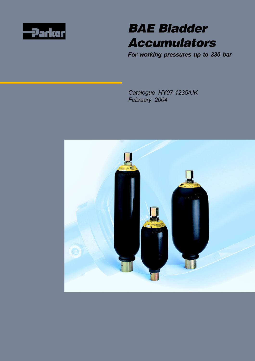



*For working pressures up to 330 bar*

*Catalogue HY07-1235/UK February 2004*

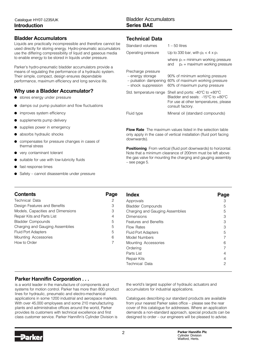### **Bladder Accumulators**

Liquids are practically incompressible and therefore cannot be used directly for storing energy. Hydro-pneumatic accumulators use the differing compressibility of liquid and gaseous media to enable energy to be stored in liquids under pressure.

Parker's hydro-pneumatic bladder accumulators provide a means of regulating the performance of a hydraulic system. Their simple, compact, design ensures dependable performance, maximum efficiency and long service life.

### **Why use a Bladder Accumulator?**

- stores energy under pressure
- damps out pump pulsation and flow fluctuations
- improves system efficiency
- supplements pump delivery
- supplies power in emergency
- absorbs hydraulic shocks
- compensates for pressure changes in cases of thermal stress
- very contaminant tolerant
- suitable for use with low-lubricity fluids
- fast response times
- Safety cannot disassemble under pressure

## **Technical Data**

| Standard volumes                                                                       | $1 - 50$ litres                                                                                                                                                           |
|----------------------------------------------------------------------------------------|---------------------------------------------------------------------------------------------------------------------------------------------------------------------------|
| Operating pressure                                                                     | Up to 330 bar, with $p_2 < 4 \times p_1$                                                                                                                                  |
|                                                                                        | where $p_1$ = minimum working pressure<br>$p_2$ = maximum working pressure<br>and                                                                                         |
| Precharge pressure<br>- energy storage<br>- pulsation dampening<br>- shock suppression | 90% of minimum working pressure<br>60% of maximum working pressure<br>60% of maximum pump pressure                                                                        |
| Std. temperature range                                                                 | Shell and ports: -40 $\degree$ C to +80 $\degree$ C<br>Bladder and seals: $-15^{\circ}$ C to $+80^{\circ}$ C<br>For use at other temperatures, please<br>consult factory. |
| Fluid type                                                                             | Mineral oil (standard compounds)                                                                                                                                          |
|                                                                                        |                                                                                                                                                                           |

**Flow Rate** The maximum values listed in the selection table only apply in the case of vertical installation (fluid port facing downwards).

**Positioning** From vertical (fluid port downwards) to horizontal. Note that a minimum clearance of 200mm must be left above the gas valve for mounting the charging and gauging assembly – see page 5.

| <b>Contents</b>                   | Page | <b>Index</b>                    | Page |
|-----------------------------------|------|---------------------------------|------|
| <b>Technical Data</b>             | 2    | Approvals                       | З    |
| Design Features and Benefits      | 3    | <b>Bladder Compounds</b>        | 5    |
| Models, Capacities and Dimensions | 3    | Charging and Gauging Assemblies | 5    |
| Repair Kits and Parts List        | 4    | Dimensions                      | 3    |
| <b>Bladder Compounds</b>          | 5    | <b>Features and Benefits</b>    | 3    |
| Charging and Gauging Assemblies   | 5    | Flow Rates                      | 3    |
| <b>Fluid Port Adapters</b>        | 5    | Fluid Port Adapters             | 5    |
| Mounting Accessories              | 6    | Model Numbers                   |      |
| How to Order                      |      | Mounting Accessories            | 6    |
|                                   |      | Ordering                        |      |
|                                   |      | Parts List                      | 4    |
|                                   |      | Repair Kits                     | 4    |
|                                   |      | Technical Data                  | 2    |

## **Parker Hannifin Corporation . . .**

is a world leader in the manufacture of components and systems for motion control. Parker has more than 800 product lines for hydraulic, pneumatic and electro-mechanical applications in some 1200 industrial and aerospace markets. With over 45,000 employees and some 210 manufacturing plants and administrative offices around the world, Parker provides its customers with technical excellence and first class customer service. Parker Hannifin's Cylinder Division is

the world's largest supplier of hydraulic actuators and accumulators for industrial applications.

Catalogues describing our standard products are available from your nearest Parker sales office – please see the rear cover of this catalogue for addresses. Where an application demands a non-standard approach, special products can be designed to order – our engineers will be pleased to advise.

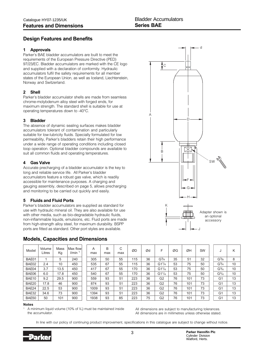## **Design Features and Benefits**

#### **1 Approvals**

Parker's BAE bladder accumulators are built to meet the requirements of the European Pressure Directive (PED) 97/23/EC. Bladder accumulators are marked with the CE logo and supplied with a declaration of conformity. Hydraulic accumulators fulfil the safety requirements for all member states of the European Union, as well as Iceland, Liechtenstein, Norway and Switzerland.

#### **2 Shell**

Parker's bladder accumulator shells are made from seamless chrome-molybdenum alloy steel with forged ends, for maximum strength. The standard shell is suitable for use at operating temperatures down to -40°C.

#### **3 Bladder**

The absence of dynamic sealing surfaces makes bladder accumulators tolerant of contamination and particularly suitable for low-lubricity fluids. Specially formulated for low permeability, Parker's bladders retain their high performance under a wide range of operating conditions including closed loop operation. Optional bladder compounds are available to suit all common fluids and operating temperatures.

#### **4 Gas Valve**

Accurate precharging of a bladder accumulator is the key to long and reliable service life. All Parker's bladder accumulators feature a robust gas valve, which is readily accessible for maintenance purposes. A charging and gauging assembly, described on page 5, allows precharging and monitoring to be carried out quickly and easily.

#### **5 Fluids and Fluid Ports**

Parker's bladder accumulators are supplied as standard for use with hydraulic mineral oil. They are also available for use with other media, such as bio-degradable hydraulic fluids, non-inflammable liquids, emulsions, etc. Fluid ports are made from high-strength alloy steel, for maximum durability. BSPP ports are fitted as standard. Other port styles are available.

## **Models, Capacities and Dimensions**



| Model | Volume<br>Litres | Mass<br>Κg | Max flowl<br>l/min | A<br>max | B<br>max | С<br>max | ØD  | Ød | F              | ØG | ØΗ  | <b>SW</b> | x.                | Κ  |
|-------|------------------|------------|--------------------|----------|----------|----------|-----|----|----------------|----|-----|-----------|-------------------|----|
| BAE01 |                  | 5          | 240                | 305      | 50       | 55       | 115 | 36 | $G^{3/4}$      | 35 | 51  | 32        | G <sup>3</sup> /8 | 8  |
| BAE02 | 2.4              | 10         | 450                | 535      | 67       | 55       | 115 | 36 | $G1^{1/4}$     | 53 | 75  | 50        | $G^{3/4}$         | 10 |
| BAE04 | 3.7              | 13.5       | 450                | 417      | 67       | 55       | 170 | 36 | $G1^{1/4}$     | 53 | 75  | 50        | $G^{3/4}$         | 10 |
| BAE06 | 6.0              | 17.8       | 450                | 540      | 67       | 55       | 170 | 36 | $G1^{1/4}$     | 53 | 75  | 50        | $G^{3/4}$         | 10 |
| BAE10 | 9.2              | 29.5       | 900                | 559      | 93       | 51       | 223 | 36 | G <sub>2</sub> | 76 | 101 | 73        | G <sub>1</sub>    | 13 |
| BAE20 | 17.8             | 46         | 900                | 874      | 93       | 51       | 223 | 36 | G <sub>2</sub> | 76 | 101 | 73        | G <sub>1</sub>    | 13 |
| BAE24 | 22.5             | 53         | 900                | 1009     | 93       | 51       | 223 | 36 | G <sub>2</sub> | 76 | 101 | 73        | G1                | 13 |
| BAE32 | 34.6             | 73         | 900                | 1394     | 93       | 51       | 223 | 36 | G <sub>2</sub> | 76 | 101 | 73        | G <sub>1</sub>    | 13 |
| BAE50 | 50               | 101        | 900                | 1938     | 93       | 85       | 223 | 75 | G <sub>2</sub> | 76 | 101 | 73        | G <sub>1</sub>    | 13 |

#### **Notes**

A minimum liquid volume (10% of  $V_0$ ) must be maintained inside the accumulator.

All dimensions are subject to manufacturing tolerances. All dimensions are in millimetres unless otherwise stated.

In line with our policy of continuing product improvement, specifications in this catalogue are subject to change without notice.

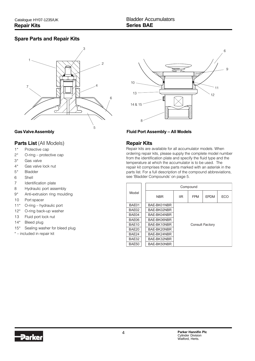## **Spare Parts and Repair Kits**



#### **Parts List** (All Models)

- 1\* Protective cap
- 2\* O-ring protective cap
- 3\* Gas valve
- 4\* Gas valve lock nut
- 5\* Bladder
- 6 Shell
- 7 Identification plate
- 8 Hydraulic port assembly
- 9\* Anti-extrusion ring moulding
- 10 Port spacer
- 11\* O-ring hydraulic port
- 12\* O-ring back-up washer
- 13 Fluid port lock nut
- 14\* Bleed plug
- 15\* Sealing washer for bleed plug
- \* included in repair kit



#### **Gas Valve Assembly Fluid Port Assembly – All Models**

### **Repair Kits**

Repair kits are available for all accumulator models. When ordering repair kits, please supply the complete model number from the identification plate and specify the fluid type and the temperature at which the accumulator is to be used. The repair kit comprises those parts marked with an asterisk in the parts list. For a full description of the compound abbreviations, see 'Bladder Compounds' on page 5.

|       |             |            | Compound   |                        |     |  |  |  |  |
|-------|-------------|------------|------------|------------------------|-----|--|--|--|--|
| Model | <b>NBR</b>  | <b>IIR</b> | <b>FPM</b> | <b>FPDM</b>            | ECO |  |  |  |  |
| BAE01 | BAE-BK01NBR |            |            |                        |     |  |  |  |  |
| BAE02 | BAE-BK02NBR |            |            |                        |     |  |  |  |  |
| BAE04 | BAE-BK04NBR |            |            |                        |     |  |  |  |  |
| BAE06 | BAE-BK06NBR |            |            |                        |     |  |  |  |  |
| BAE10 | BAE-BK10NBR |            |            | <b>Consult Factory</b> |     |  |  |  |  |
| BAE20 | BAE-BK20NBR |            |            |                        |     |  |  |  |  |
| BAE24 | BAE-BK24NBR |            |            |                        |     |  |  |  |  |
| BAE32 | BAE-BK32NBR |            |            |                        |     |  |  |  |  |
| BAE50 | BAE-BK50NBR |            |            |                        |     |  |  |  |  |

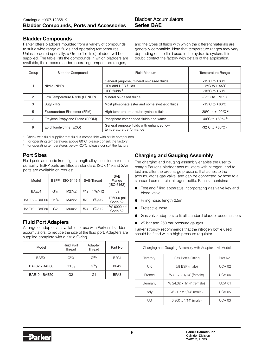## **Bladder Compounds**

Parker offers bladders moulded from a variety of compounds, to suit a wide range of fluids and operating temperatures. Unless ordered specially, a Group 1 (nitrile) bladder will be supplied. The table lists the compounds in which bladders are available, their recommended operating temperature ranges,

and the types of fluids with which the different materials are generally compatible. Note that temperature ranges may vary depending on the fluid used in the hydraulic system. If in doubt, contact the factory with details of the application.

| Group         | <b>Bladder Compound</b>          | Fluid Medium                                                        | Temperature Range                                     |
|---------------|----------------------------------|---------------------------------------------------------------------|-------------------------------------------------------|
|               |                                  | General purpose, mineral oil-based fluids                           | -15 $\degree$ C to +80 $\degree$ C                    |
|               | Nitrile (NBR)                    | HFA and HFB fluids 1                                                | +5 $\degree$ C to + 55 $\degree$ C                    |
|               |                                  | HFC fluids $1$                                                      | $-15^{\circ}$ C to $+60^{\circ}$ C                    |
| $\mathcal{P}$ | Low Temperature Nitrile (LT NBR) | Mineral oil-based fluids                                            | -35 $^{\circ}$ C to +75 $^{\circ}$ C                  |
| 3             | Butyl (IIR)                      | Most phosphate ester and some synthetic fluids                      | $-15^{\circ}$ C to $+80^{\circ}$ C                    |
| 5             | Fluorocarbon Elastomer (FPM)     | High temperature and/or synthetic fluids                            | -20 °C to +100 °C $^2$                                |
|               | Ethylene Propylene Diene (EPDM)  | Phosphate ester-based fluids and water                              | -40 <sup>o</sup> C to +80 <sup>o</sup> C <sup>3</sup> |
| 9             | Epichlorohydrine (ECO)           | General purpose fluids with enhanced low<br>temperature performance | -32 °C to +80 °C $3$                                  |

<sup>1</sup> Check with fluid supplier that fluid is compatible with nitrile compounds

<sup>2</sup> For operating temperatures above 80°C, please consult the factory

<sup>3</sup> For operating temperatures below -20°C, please consult the factory

## **Port Sizes**

Fluid ports are made from high-strength alloy steel, for maximum durability. BSPP ports are fitted as standard. ISO 6149 and SAE ports are available on request.

|                      |                                |            |     |                            | <b>SAE</b>                |
|----------------------|--------------------------------|------------|-----|----------------------------|---------------------------|
| Model                | <b>BSPP</b>                    | ISO 6149-1 |     | SAE-Thread                 | Flange                    |
|                      |                                |            |     |                            | (ISO 6162)                |
| BAE01                | $G^{3/4}$                      | M27x2      |     | $\#12$ $1\frac{1}{16}$ -12 | n/a                       |
|                      |                                |            |     |                            |                           |
| <b>BAE02 - BAE06</b> | G1 <sup>1</sup> / <sub>4</sub> | M42x2      | #20 | $1\frac{5}{8}$ -12         | 1" 6000 psi               |
|                      |                                |            |     |                            | Code 62                   |
| <b>BAE10 - BAE50</b> | G <sub>2</sub>                 | M60x2      | #24 | $1^{7}/8$ "-12             | $1\frac{1}{2}$ " 6000 psi |
|                      |                                |            |     |                            | Code 62                   |

## **Fluid Port Adapters**

A range of adapters is available for use with Parker's bladder accumulators, to reduce the size of the fluid port. Adapters are supplied complete with a nitrile O-ring.

| Model                | Fluid Port<br>Thread | Adapter<br>Thread | Part No.         |
|----------------------|----------------------|-------------------|------------------|
| BAE01                | $G^3/4$              | $G^3/s$           | BPA <sub>1</sub> |
| BAE02 - BAE06        | $G1^{1}/4$           | $G^3/4$           | BPA <sub>2</sub> |
| <b>BAE10 - BAE50</b> | G <sub>2</sub>       | G1                | BPA <sub>3</sub> |

## **Charging and Gauging Assembly**

The charging and gauging assembly enables the user to charge Parker's bladder accumulators with nitrogen, and to test and alter the precharge pressure. It attaches to the accumulator's gas valve, and can be connected by hose to a standard commercial nitrogen bottle. Each kit contains:

- Test and filling apparatus incorporating gas valve key and bleed valve
- Filling hose, length 2.5m
- Protective case
- Gas valve adapters to fit all standard bladder accumulators
- 25 bar and 250 bar pressure gauges

Parker strongly recommends that the nitrogen bottle used should be fitted with a high pressure regulator.

| Charging and Gauging Assembly with Adapter - All Models |                              |         |  |  |  |  |  |  |  |
|---------------------------------------------------------|------------------------------|---------|--|--|--|--|--|--|--|
| Territory                                               | Gas Bottle Fitting           | Part No |  |  |  |  |  |  |  |
| UK                                                      | 5/8 BSP (male)               | UCA 02  |  |  |  |  |  |  |  |
| France                                                  | W 21.7 x 1/14" (female)      | UCA 04  |  |  |  |  |  |  |  |
| Germany                                                 | W 24.32 x 1/14" (female)     | UCA 01  |  |  |  |  |  |  |  |
| Italy                                                   | W 21.7 x 1/14" (male)        | UCA 05  |  |  |  |  |  |  |  |
| US                                                      | $0.960 \times 1/14$ " (male) | UCA 03  |  |  |  |  |  |  |  |

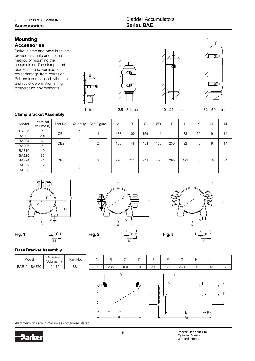## **Mounting Accessories**

Parker clamp and base brackets provide a simple and secure method of mounting the accumulator. The clamps and brackets are galvanised to resist damage from corrosion. Rubber inserts absorb vibration and resist deformation in high temperature environments.









#### **Clamp Bracket Assembly**

| Model | Nominal<br>Volume (I) | Part No.        | Quantity | See Figure     | A   | B   | С   | ØD  | E                        | Н   | Κ  | ØL | M  |
|-------|-----------------------|-----------------|----------|----------------|-----|-----|-----|-----|--------------------------|-----|----|----|----|
| BAE01 |                       | CB <sub>1</sub> |          |                | 138 | 100 | 159 | 114 |                          | 73  | 30 | 9  | 14 |
| BAE02 | 2.5                   |                 |          |                |     |     |     |     | $\overline{\phantom{0}}$ |     |    |    |    |
| BAE04 | $\overline{4}$        | CB <sub>2</sub> | 2        | $\overline{2}$ | 188 | 148 | 181 | 168 | 230                      | 92  | 40 | 9  | 14 |
| BAE06 | 6                     |                 |          |                |     |     |     |     |                          |     |    |    |    |
| BAE10 | 10                    |                 |          |                |     |     |     |     |                          |     |    |    |    |
| BAE20 | 20                    |                 |          |                |     |     |     |     |                          |     |    |    |    |
| BAE24 | 24                    | CB <sub>3</sub> |          | 3              | 270 | 216 | 241 | 226 | 290                      | 123 | 40 | 15 | 21 |
| BAE32 | 32                    |                 | 2        |                |     |     |     |     |                          |     |    |    |    |
| BAE50 | 50                    |                 |          |                |     |     |     |     |                          |     |    |    |    |
|       |                       |                 |          |                |     |     |     |     |                          |     |    |    |    |



## **Fig. 1** └ □右手长(\* **Fig. 2** └ □右手长(\* **Fig. 3** H C D M E L M  $A \longrightarrow A$



#### **Base Bracket Assembly**

| Model         | Nominal<br>Volume (I) | Part No. | ⊢   | B   | $\sim$ | ◡   | –   |    | $\sim$ |    |    | └             |
|---------------|-----------------------|----------|-----|-----|--------|-----|-----|----|--------|----|----|---------------|
| BAE10 - BAE50 | $10 - 50$             | BB1      | 123 | 235 | 100    | 170 | 200 | 30 | 260    | 25 | 15 | $\rightarrow$ |
|               |                       |          |     |     |        |     |     |    |        |    |    |               |



C

All dimensions are in mm unless otherwise stated



6 **Parker Hannifin Plc** Cylinder Division Watford, Herts.

K

H

ł

F

E G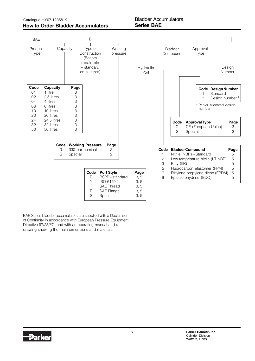

BAE Series bladder accumulators are supplied with a Declaration of Confirmity in accordance with European Pressure Equipment Directive 97/23/EC, and with an operating manual and a drawing showing the main dimensions and materials.